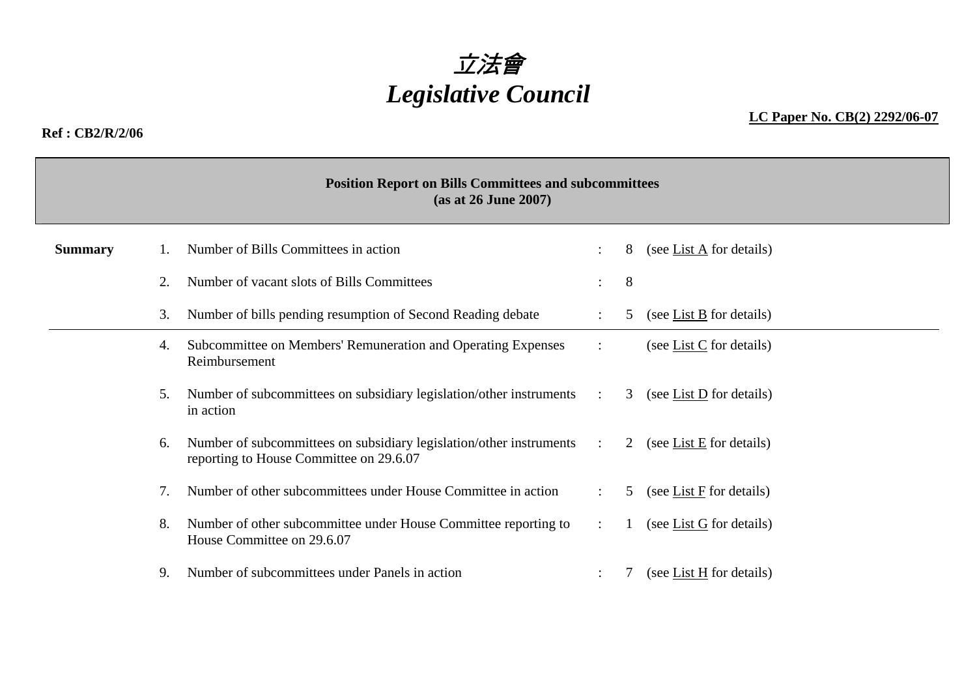

#### **Ref : CB2/R/2/06**

**LC Paper No. CB(2) 2292/06-07**

|                | <b>Position Report on Bills Committees and subcommittees</b><br>(as at 26 June 2007)     |                                                                                                                |                      |   |                                        |  |  |  |  |  |
|----------------|------------------------------------------------------------------------------------------|----------------------------------------------------------------------------------------------------------------|----------------------|---|----------------------------------------|--|--|--|--|--|
| <b>Summary</b> |                                                                                          | Number of Bills Committees in action                                                                           |                      | 8 | (see List $\overline{A}$ for details)  |  |  |  |  |  |
|                |                                                                                          | Number of vacant slots of Bills Committees                                                                     |                      | 8 |                                        |  |  |  |  |  |
|                | Number of bills pending resumption of Second Reading debate<br>3.                        |                                                                                                                |                      |   | (see List $\underline{B}$ for details) |  |  |  |  |  |
|                | 4.                                                                                       | Subcommittee on Members' Remuneration and Operating Expenses<br>Reimbursement                                  |                      |   | (see List $C$ for details)             |  |  |  |  |  |
|                | Number of subcommittees on subsidiary legislation/other instruments :<br>5.<br>in action |                                                                                                                |                      | 3 | (see List D for details)               |  |  |  |  |  |
|                | 6.                                                                                       | Number of subcommittees on subsidiary legislation/other instruments<br>reporting to House Committee on 29.6.07 | $\mathcal{L}$        | 2 | (see <u>List E</u> for details)        |  |  |  |  |  |
|                | 7.                                                                                       | Number of other subcommittees under House Committee in action                                                  |                      | 5 | (see List $F$ for details)             |  |  |  |  |  |
|                | 8.                                                                                       | Number of other subcommittee under House Committee reporting to<br>House Committee on 29.6.07                  | $\ddot{\phantom{a}}$ |   | (see List $G$ for details)             |  |  |  |  |  |
|                | 9.                                                                                       | Number of subcommittees under Panels in action                                                                 |                      |   | (see List $H$ for details)             |  |  |  |  |  |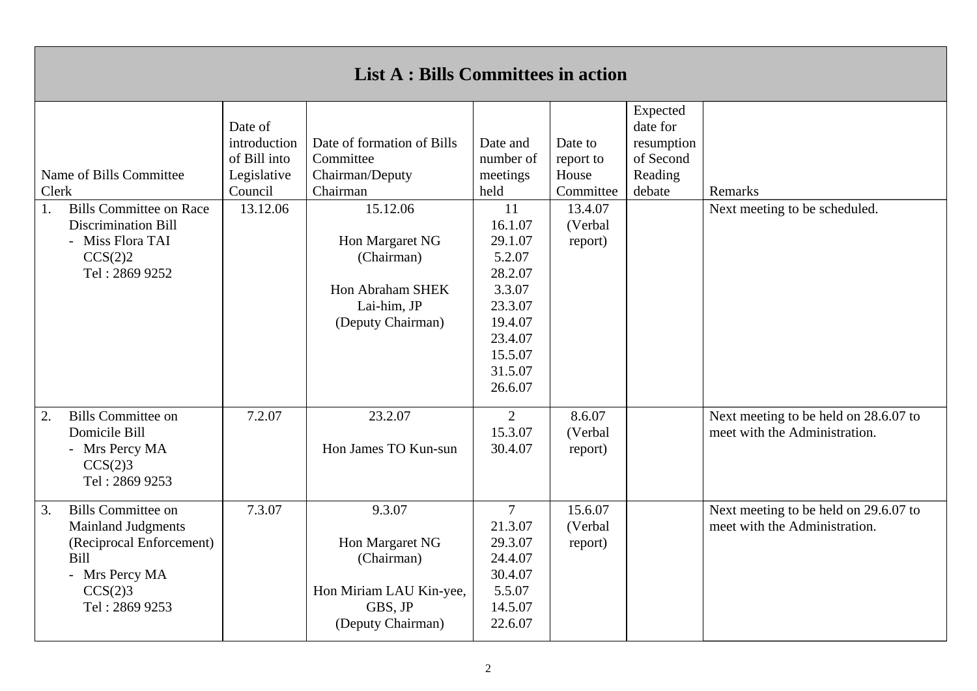| <b>List A: Bills Committees in action</b>                                                                                                               |                                                                               |                                                                                                                                                                             |                                                                                                                                                                        |                                                                             |                                                                      |                                                                        |  |  |
|---------------------------------------------------------------------------------------------------------------------------------------------------------|-------------------------------------------------------------------------------|-----------------------------------------------------------------------------------------------------------------------------------------------------------------------------|------------------------------------------------------------------------------------------------------------------------------------------------------------------------|-----------------------------------------------------------------------------|----------------------------------------------------------------------|------------------------------------------------------------------------|--|--|
| Name of Bills Committee<br>Clerk<br><b>Bills Committee on Race</b><br>1.<br><b>Discrimination Bill</b><br>- Miss Flora TAI<br>CCS(2)2<br>Tel: 2869 9252 | Date of<br>introduction<br>of Bill into<br>Legislative<br>Council<br>13.12.06 | Date of formation of Bills<br>Committee<br>Chairman/Deputy<br>Chairman<br>15.12.06<br>Hon Margaret NG<br>(Chairman)<br>Hon Abraham SHEK<br>Lai-him, JP<br>(Deputy Chairman) | Date and<br>number of<br>meetings<br>held<br>11<br>16.1.07<br>29.1.07<br>5.2.07<br>28.2.07<br>3.3.07<br>23.3.07<br>19.4.07<br>23.4.07<br>15.5.07<br>31.5.07<br>26.6.07 | Date to<br>report to<br>House<br>Committee<br>13.4.07<br>(Verbal<br>report) | Expected<br>date for<br>resumption<br>of Second<br>Reading<br>debate | Remarks<br>Next meeting to be scheduled.                               |  |  |
| <b>Bills Committee on</b><br>2.<br>Domicile Bill<br>- Mrs Percy MA<br>CCS(2)3<br>Tel: 2869 9253                                                         | 7.2.07                                                                        | 23.2.07<br>Hon James TO Kun-sun                                                                                                                                             | $\overline{2}$<br>15.3.07<br>30.4.07                                                                                                                                   | 8.6.07<br>(Verbal<br>report)                                                |                                                                      | Next meeting to be held on 28.6.07 to<br>meet with the Administration. |  |  |
| <b>Bills Committee on</b><br>3.<br><b>Mainland Judgments</b><br>(Reciprocal Enforcement)<br><b>Bill</b><br>- Mrs Percy MA<br>CCS(2)3<br>Tel: 2869 9253  | 7.3.07                                                                        | 9.3.07<br>Hon Margaret NG<br>(Chairman)<br>Hon Miriam LAU Kin-yee,<br>GBS, JP<br>(Deputy Chairman)                                                                          | $\overline{7}$<br>21.3.07<br>29.3.07<br>24.4.07<br>30.4.07<br>5.5.07<br>14.5.07<br>22.6.07                                                                             | 15.6.07<br>(Verbal<br>report)                                               |                                                                      | Next meeting to be held on 29.6.07 to<br>meet with the Administration. |  |  |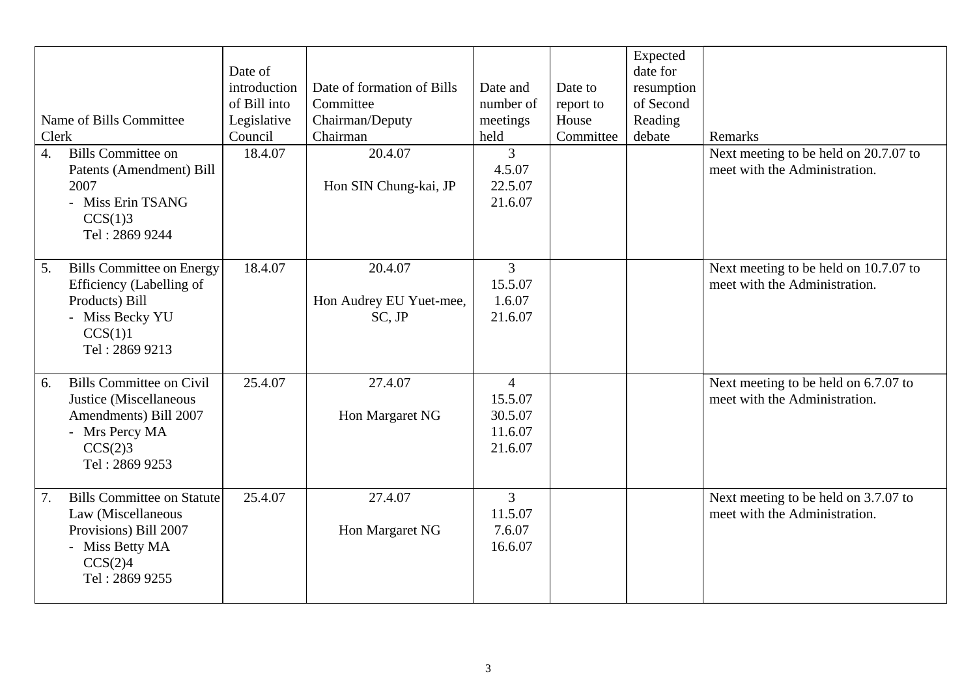| Name of Bills Committee<br>Clerk                                                                                                        | Date of<br>introduction<br>of Bill into<br>Legislative<br>Council | Date of formation of Bills<br>Committee<br>Chairman/Deputy<br>Chairman | Date and<br>number of<br>meetings<br>held                  | Date to<br>report to<br>House<br>Committee | Expected<br>date for<br>resumption<br>of Second<br>Reading<br>debate | Remarks                                                                |
|-----------------------------------------------------------------------------------------------------------------------------------------|-------------------------------------------------------------------|------------------------------------------------------------------------|------------------------------------------------------------|--------------------------------------------|----------------------------------------------------------------------|------------------------------------------------------------------------|
| <b>Bills Committee on</b><br>$\overline{4}$ .<br>Patents (Amendment) Bill<br>2007<br>- Miss Erin TSANG<br>CCS(1)3<br>Tel: 2869 9244     | 18.4.07                                                           | 20.4.07<br>Hon SIN Chung-kai, JP                                       | $\overline{3}$<br>4.5.07<br>22.5.07<br>21.6.07             |                                            |                                                                      | Next meeting to be held on 20.7.07 to<br>meet with the Administration. |
| <b>Bills Committee on Energy</b><br>5.<br>Efficiency (Labelling of<br>Products) Bill<br>- Miss Becky YU<br>CCS(1)1<br>Tel: 2869 9213    | 18.4.07                                                           | 20.4.07<br>Hon Audrey EU Yuet-mee,<br>SC, JP                           | $\overline{3}$<br>15.5.07<br>1.6.07<br>21.6.07             |                                            |                                                                      | Next meeting to be held on 10.7.07 to<br>meet with the Administration. |
| <b>Bills Committee on Civil</b><br>6.<br>Justice (Miscellaneous<br>Amendments) Bill 2007<br>- Mrs Percy MA<br>CCS(2)3<br>Tel: 2869 9253 | 25.4.07                                                           | 27.4.07<br>Hon Margaret NG                                             | $\overline{4}$<br>15.5.07<br>30.5.07<br>11.6.07<br>21.6.07 |                                            |                                                                      | Next meeting to be held on 6.7.07 to<br>meet with the Administration.  |
| <b>Bills Committee on Statute</b><br>7.<br>Law (Miscellaneous<br>Provisions) Bill 2007<br>- Miss Betty MA<br>CCS(2)4<br>Tel: 2869 9255  | 25.4.07                                                           | 27.4.07<br>Hon Margaret NG                                             | $\overline{3}$<br>11.5.07<br>7.6.07<br>16.6.07             |                                            |                                                                      | Next meeting to be held on 3.7.07 to<br>meet with the Administration.  |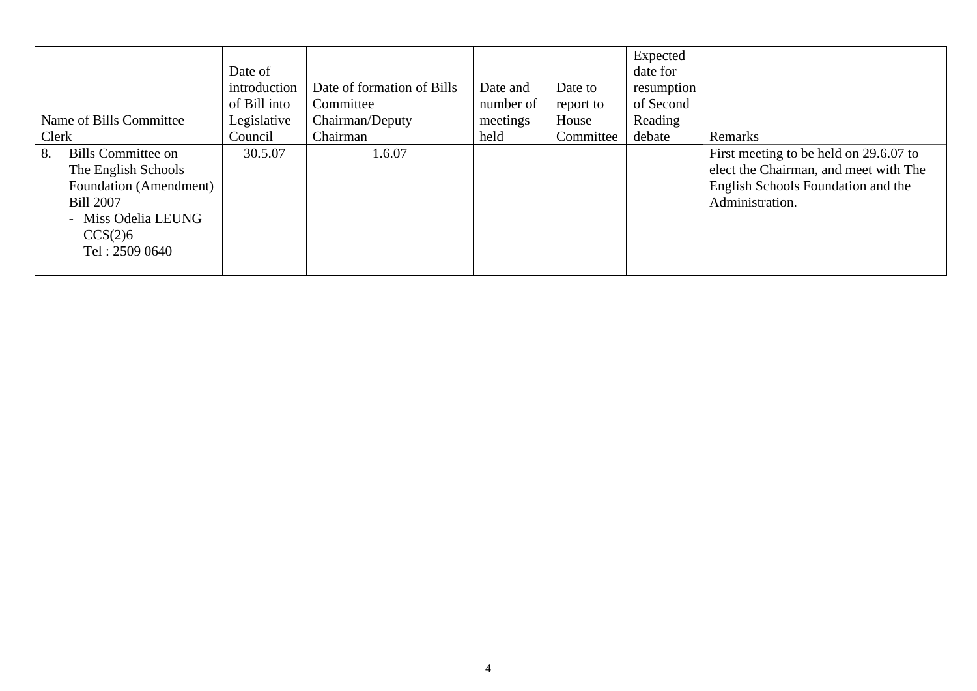|                          |              |                            |           |           | Expected   |                                        |
|--------------------------|--------------|----------------------------|-----------|-----------|------------|----------------------------------------|
|                          | Date of      |                            |           |           | date for   |                                        |
|                          | introduction | Date of formation of Bills | Date and  | Date to   | resumption |                                        |
|                          | of Bill into | Committee                  | number of | report to | of Second  |                                        |
| Name of Bills Committee  | Legislative  | Chairman/Deputy            | meetings  | House     | Reading    |                                        |
| Clerk                    | Council      | Chairman                   | held      | Committee | debate     | Remarks                                |
| Bills Committee on<br>8. | 30.5.07      | 1.6.07                     |           |           |            | First meeting to be held on 29.6.07 to |
| The English Schools      |              |                            |           |           |            | elect the Chairman, and meet with The  |
| Foundation (Amendment)   |              |                            |           |           |            | English Schools Foundation and the     |
| <b>Bill 2007</b>         |              |                            |           |           |            | Administration.                        |
| - Miss Odelia LEUNG      |              |                            |           |           |            |                                        |
| CCS(2)6                  |              |                            |           |           |            |                                        |
| Tel: 2509 0640           |              |                            |           |           |            |                                        |
|                          |              |                            |           |           |            |                                        |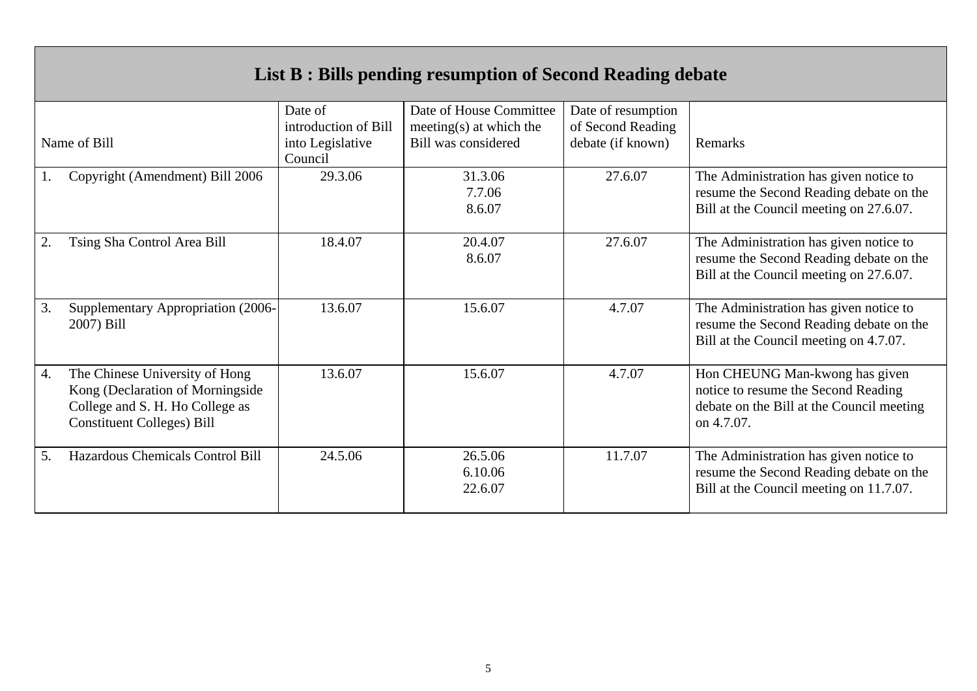|    | List B : Bills pending resumption of Second Reading debate                                                                                 |                                                                |                                                                           |                                                              |                                                                                                                                  |  |  |  |  |  |
|----|--------------------------------------------------------------------------------------------------------------------------------------------|----------------------------------------------------------------|---------------------------------------------------------------------------|--------------------------------------------------------------|----------------------------------------------------------------------------------------------------------------------------------|--|--|--|--|--|
|    | Name of Bill                                                                                                                               | Date of<br>introduction of Bill<br>into Legislative<br>Council | Date of House Committee<br>meeting(s) at which the<br>Bill was considered | Date of resumption<br>of Second Reading<br>debate (if known) | Remarks                                                                                                                          |  |  |  |  |  |
|    | Copyright (Amendment) Bill 2006                                                                                                            | 29.3.06                                                        | 31.3.06<br>7.7.06<br>8.6.07                                               | 27.6.07                                                      | The Administration has given notice to<br>resume the Second Reading debate on the<br>Bill at the Council meeting on 27.6.07.     |  |  |  |  |  |
| 2. | Tsing Sha Control Area Bill                                                                                                                | 18.4.07                                                        | 20.4.07<br>8.6.07                                                         | 27.6.07                                                      | The Administration has given notice to<br>resume the Second Reading debate on the<br>Bill at the Council meeting on 27.6.07.     |  |  |  |  |  |
| 3. | Supplementary Appropriation (2006-<br>2007) Bill                                                                                           | 13.6.07                                                        | 15.6.07                                                                   | 4.7.07                                                       | The Administration has given notice to<br>resume the Second Reading debate on the<br>Bill at the Council meeting on 4.7.07.      |  |  |  |  |  |
| 4. | The Chinese University of Hong<br>Kong (Declaration of Morningside<br>College and S. H. Ho College as<br><b>Constituent Colleges) Bill</b> | 13.6.07                                                        | 15.6.07                                                                   | 4.7.07                                                       | Hon CHEUNG Man-kwong has given<br>notice to resume the Second Reading<br>debate on the Bill at the Council meeting<br>on 4.7.07. |  |  |  |  |  |
| 5. | Hazardous Chemicals Control Bill                                                                                                           | 24.5.06                                                        | 26.5.06<br>6.10.06<br>22.6.07                                             | 11.7.07                                                      | The Administration has given notice to<br>resume the Second Reading debate on the<br>Bill at the Council meeting on 11.7.07.     |  |  |  |  |  |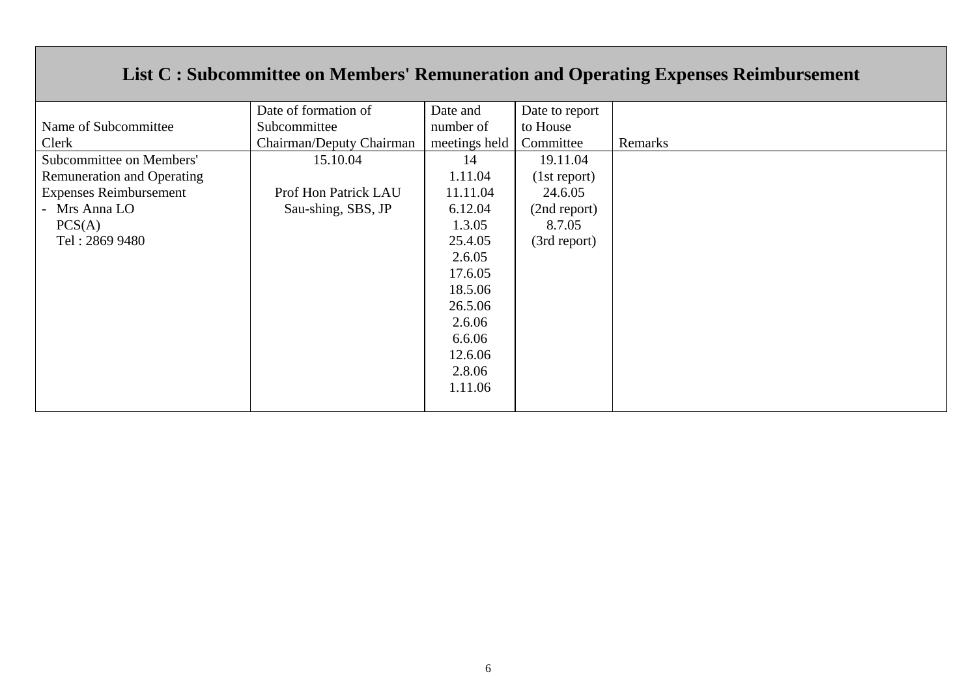# **List C : Subcommittee on Members' Remuneration and Operating Expenses Reimbursement**

|                                   | Date of formation of     | Date and      | Date to report |         |
|-----------------------------------|--------------------------|---------------|----------------|---------|
| Name of Subcommittee              | Subcommittee             | number of     | to House       |         |
| Clerk                             | Chairman/Deputy Chairman | meetings held | Committee      | Remarks |
| Subcommittee on Members'          | 15.10.04                 | 14            | 19.11.04       |         |
| <b>Remuneration and Operating</b> |                          | 1.11.04       | (1st report)   |         |
| <b>Expenses Reimbursement</b>     | Prof Hon Patrick LAU     | 11.11.04      | 24.6.05        |         |
| - Mrs Anna LO                     | Sau-shing, SBS, JP       | 6.12.04       | (2nd report)   |         |
| PCS(A)                            |                          | 1.3.05        | 8.7.05         |         |
| Tel: 2869 9480                    |                          | 25.4.05       | (3rd report)   |         |
|                                   |                          | 2.6.05        |                |         |
|                                   |                          | 17.6.05       |                |         |
|                                   |                          | 18.5.06       |                |         |
|                                   |                          | 26.5.06       |                |         |
|                                   |                          | 2.6.06        |                |         |
|                                   |                          | 6.6.06        |                |         |
|                                   |                          | 12.6.06       |                |         |
|                                   |                          | 2.8.06        |                |         |
|                                   |                          | 1.11.06       |                |         |
|                                   |                          |               |                |         |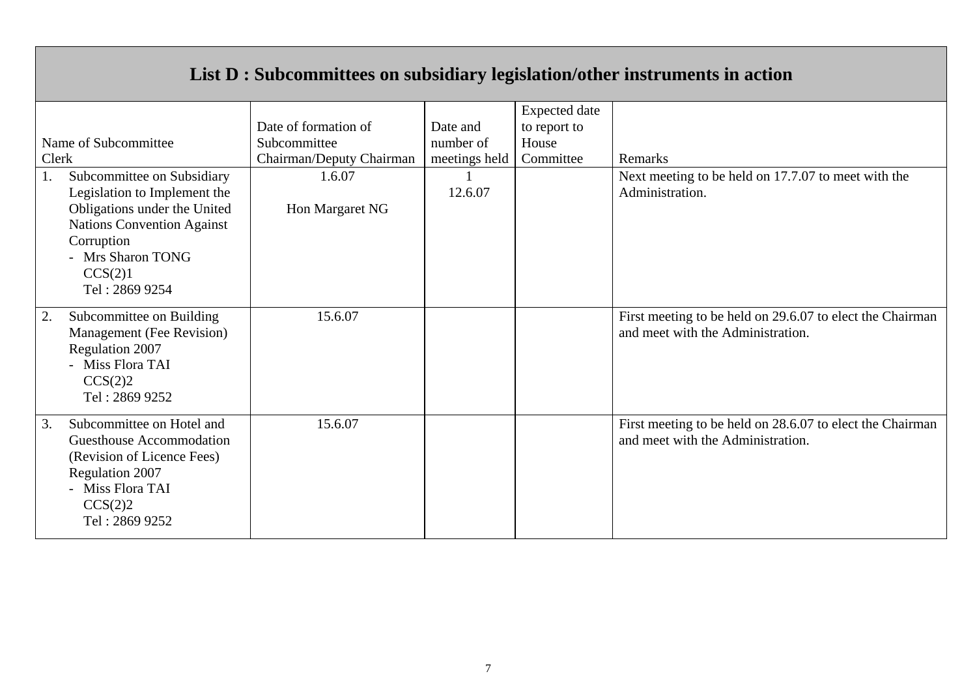# **List D : Subcommittees on subsidiary legislation/other instruments in action**

|       |                                               |                          |               | <b>Expected</b> date |                                                                                                |
|-------|-----------------------------------------------|--------------------------|---------------|----------------------|------------------------------------------------------------------------------------------------|
|       |                                               | Date of formation of     | Date and      | to report to         |                                                                                                |
|       | Name of Subcommittee                          | Subcommittee             | number of     | House                |                                                                                                |
| Clerk |                                               | Chairman/Deputy Chairman | meetings held | Committee            | Remarks                                                                                        |
| 1.    | Subcommittee on Subsidiary                    | 1.6.07                   |               |                      | Next meeting to be held on 17.7.07 to meet with the                                            |
|       | Legislation to Implement the                  |                          | 12.6.07       |                      | Administration.                                                                                |
|       | Obligations under the United                  | Hon Margaret NG          |               |                      |                                                                                                |
|       | <b>Nations Convention Against</b>             |                          |               |                      |                                                                                                |
|       | Corruption                                    |                          |               |                      |                                                                                                |
|       | - Mrs Sharon TONG                             |                          |               |                      |                                                                                                |
|       | CCS(2)1                                       |                          |               |                      |                                                                                                |
|       | Tel: 2869 9254                                |                          |               |                      |                                                                                                |
| 2.    | Subcommittee on Building                      | 15.6.07                  |               |                      | First meeting to be held on 29.6.07 to elect the Chairman                                      |
|       | Management (Fee Revision)                     |                          |               |                      |                                                                                                |
|       | Regulation 2007                               |                          |               |                      |                                                                                                |
|       |                                               |                          |               |                      |                                                                                                |
|       |                                               |                          |               |                      |                                                                                                |
|       |                                               |                          |               |                      |                                                                                                |
| 3.    | Subcommittee on Hotel and                     | 15.6.07                  |               |                      |                                                                                                |
|       | Guesthouse Accommodation                      |                          |               |                      | and meet with the Administration.                                                              |
|       | (Revision of Licence Fees)                    |                          |               |                      |                                                                                                |
|       | Regulation 2007                               |                          |               |                      |                                                                                                |
|       | - Miss Flora TAI                              |                          |               |                      |                                                                                                |
|       | CCS(2)2                                       |                          |               |                      |                                                                                                |
|       | Tel: 2869 9252                                |                          |               |                      |                                                                                                |
|       | - Miss Flora TAI<br>CCS(2)2<br>Tel: 2869 9252 |                          |               |                      | and meet with the Administration.<br>First meeting to be held on 28.6.07 to elect the Chairman |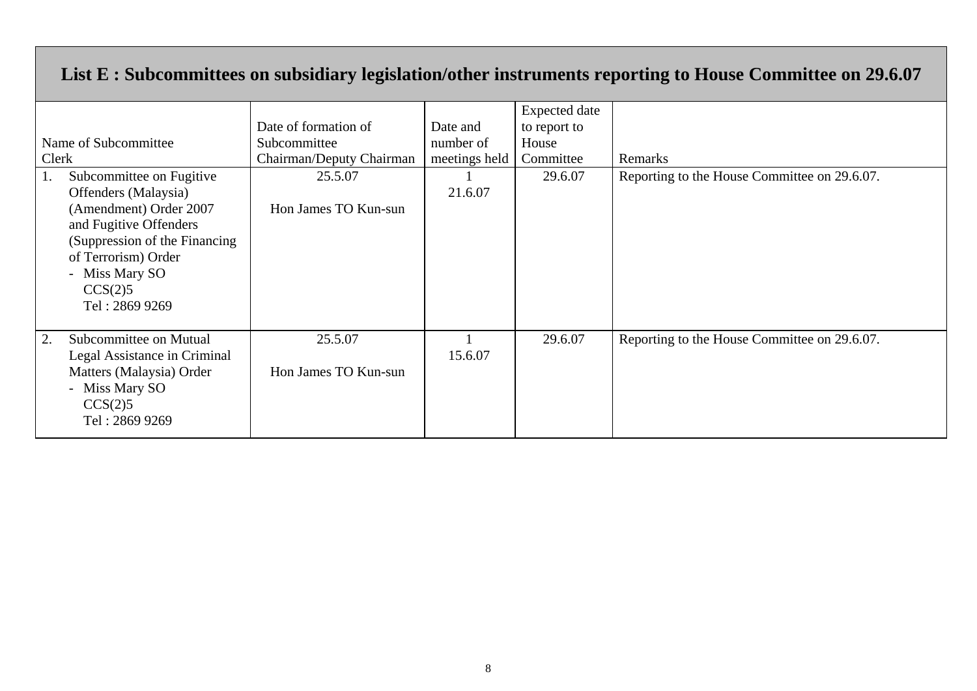### **List E : Subcommittees on subsidiary legislation/other instruments reporting to House Committee on 29.6.07**

| Name of Subcommittee<br>Clerk<br>Subcommittee on Fugitive<br>Offenders (Malaysia)<br>(Amendment) Order 2007<br>and Fugitive Offenders<br>(Suppression of the Financing)<br>of Terrorism) Order<br>- Miss Mary SO<br>CCS(2)5 | Date of formation of<br>Subcommittee<br>Chairman/Deputy Chairman<br>25.5.07<br>Hon James TO Kun-sun | Date and<br>number of<br>meetings held<br>21.6.07 | <b>Expected</b> date<br>to report to<br>House<br>Committee<br>29.6.07 | Remarks<br>Reporting to the House Committee on 29.6.07. |
|-----------------------------------------------------------------------------------------------------------------------------------------------------------------------------------------------------------------------------|-----------------------------------------------------------------------------------------------------|---------------------------------------------------|-----------------------------------------------------------------------|---------------------------------------------------------|
| Tel: 2869 9269<br>Subcommittee on Mutual<br>2.<br>Legal Assistance in Criminal<br>Matters (Malaysia) Order<br>- Miss Mary SO<br>CCS(2)5<br>Tel: 2869 9269                                                                   | 25.5.07<br>Hon James TO Kun-sun                                                                     | 15.6.07                                           | 29.6.07                                                               | Reporting to the House Committee on 29.6.07.            |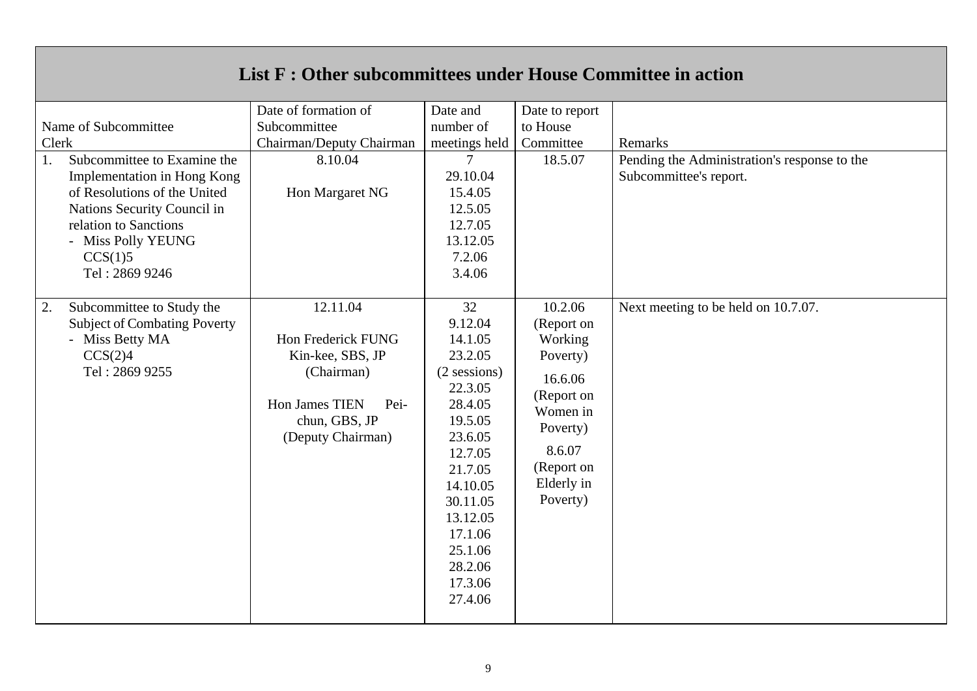# **List F : Other subcommittees under House Committee in action**

| Name of Subcommittee<br>Clerk<br>Subcommittee to Examine the<br>1.<br>Implementation in Hong Kong<br>of Resolutions of the United<br>Nations Security Council in<br>relation to Sanctions<br>- Miss Polly YEUNG<br>CCS(1)5<br>Tel: 2869 9246 | Date of formation of<br>Subcommittee<br>Chairman/Deputy Chairman<br>8.10.04<br>Hon Margaret NG                                   | Date and<br>number of<br>meetings held<br>$\tau$<br>29.10.04<br>15.4.05<br>12.5.05<br>12.7.05<br>13.12.05<br>7.2.06<br>3.4.06                                                                                      | Date to report<br>to House<br>Committee<br>18.5.07                                                                                              | Remarks<br>Pending the Administration's response to the<br>Subcommittee's report. |
|----------------------------------------------------------------------------------------------------------------------------------------------------------------------------------------------------------------------------------------------|----------------------------------------------------------------------------------------------------------------------------------|--------------------------------------------------------------------------------------------------------------------------------------------------------------------------------------------------------------------|-------------------------------------------------------------------------------------------------------------------------------------------------|-----------------------------------------------------------------------------------|
| Subcommittee to Study the<br>2.<br><b>Subject of Combating Poverty</b><br>- Miss Betty MA<br>CCS(2)4<br>Tel: 2869 9255                                                                                                                       | 12.11.04<br>Hon Frederick FUNG<br>Kin-kee, SBS, JP<br>(Chairman)<br>Hon James TIEN<br>Pei-<br>chun, GBS, JP<br>(Deputy Chairman) | 32<br>9.12.04<br>14.1.05<br>23.2.05<br>$(2$ sessions)<br>22.3.05<br>28.4.05<br>19.5.05<br>23.6.05<br>12.7.05<br>21.7.05<br>14.10.05<br>30.11.05<br>13.12.05<br>17.1.06<br>25.1.06<br>28.2.06<br>17.3.06<br>27.4.06 | 10.2.06<br>(Report on<br>Working<br>Poverty)<br>16.6.06<br>(Report on<br>Women in<br>Poverty)<br>8.6.07<br>(Report on<br>Elderly in<br>Poverty) | Next meeting to be held on 10.7.07.                                               |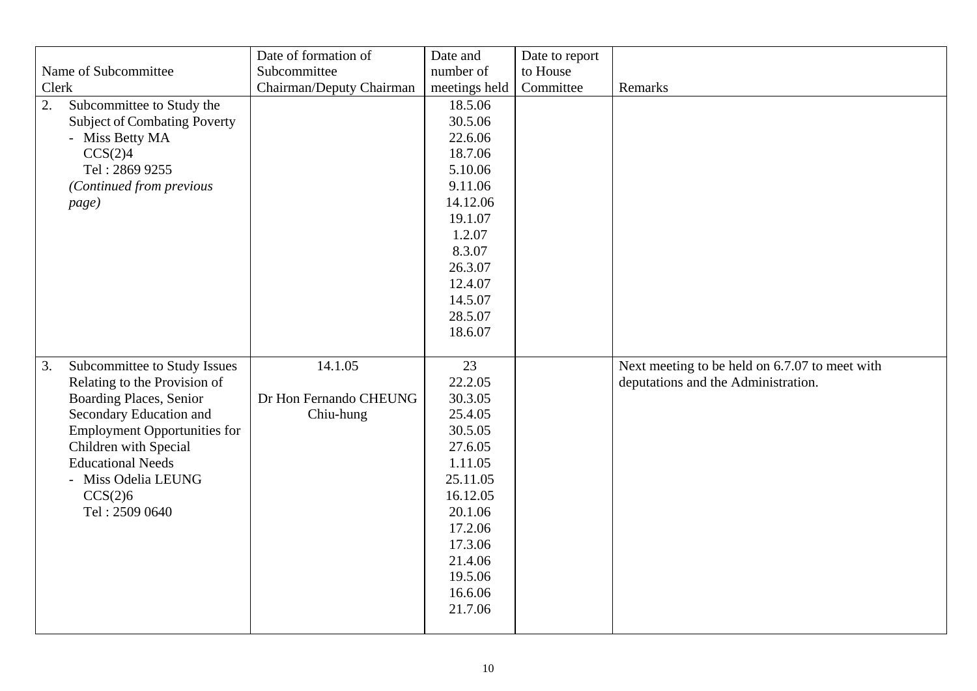| Clerk<br>2. | Name of Subcommittee<br>Subcommittee to Study the<br><b>Subject of Combating Poverty</b><br>- Miss Betty MA<br>CCS(2)4                                                                                                                                             | Date of formation of<br>Subcommittee<br>Chairman/Deputy Chairman | Date and<br>number of<br>meetings held<br>18.5.06<br>30.5.06<br>22.6.06<br>18.7.06                                                                                        | Date to report<br>to House<br>Committee | Remarks                                                                               |
|-------------|--------------------------------------------------------------------------------------------------------------------------------------------------------------------------------------------------------------------------------------------------------------------|------------------------------------------------------------------|---------------------------------------------------------------------------------------------------------------------------------------------------------------------------|-----------------------------------------|---------------------------------------------------------------------------------------|
|             | Tel: 2869 9255<br>(Continued from previous<br>page)                                                                                                                                                                                                                |                                                                  | 5.10.06<br>9.11.06<br>14.12.06<br>19.1.07<br>1.2.07<br>8.3.07<br>26.3.07<br>12.4.07<br>14.5.07<br>28.5.07<br>18.6.07                                                      |                                         |                                                                                       |
| 3.          | Subcommittee to Study Issues<br>Relating to the Provision of<br>Boarding Places, Senior<br>Secondary Education and<br><b>Employment Opportunities for</b><br>Children with Special<br><b>Educational Needs</b><br>- Miss Odelia LEUNG<br>CCS(2)6<br>Tel: 2509 0640 | 14.1.05<br>Dr Hon Fernando CHEUNG<br>Chiu-hung                   | 23<br>22.2.05<br>30.3.05<br>25.4.05<br>30.5.05<br>27.6.05<br>1.11.05<br>25.11.05<br>16.12.05<br>20.1.06<br>17.2.06<br>17.3.06<br>21.4.06<br>19.5.06<br>16.6.06<br>21.7.06 |                                         | Next meeting to be held on 6.7.07 to meet with<br>deputations and the Administration. |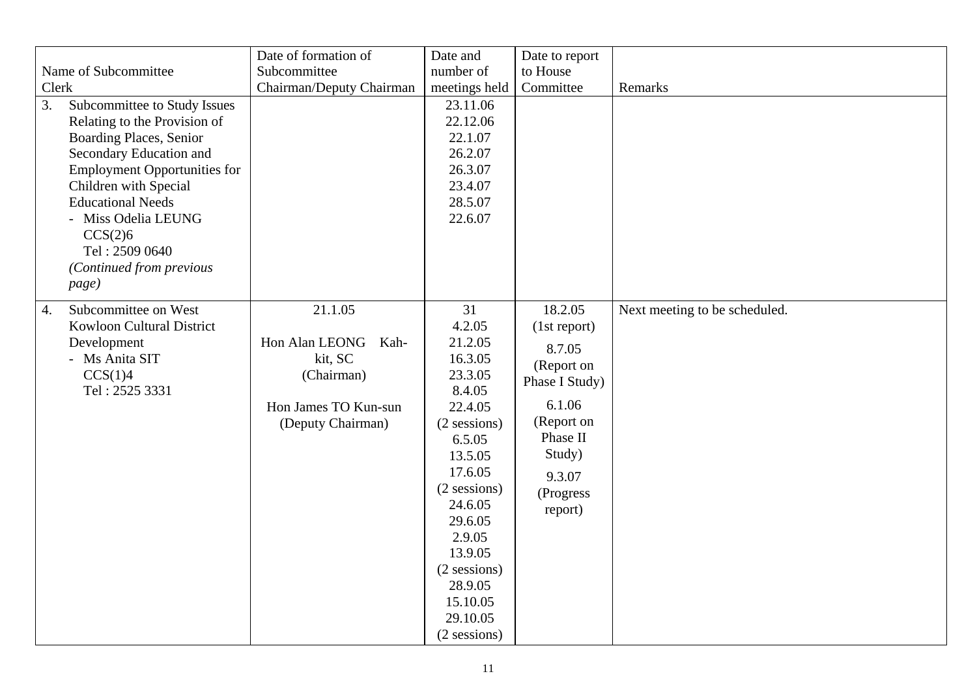| Clerk<br>3.      | Name of Subcommittee<br>Subcommittee to Study Issues<br>Relating to the Provision of<br><b>Boarding Places, Senior</b><br>Secondary Education and<br><b>Employment Opportunities for</b><br>Children with Special<br><b>Educational Needs</b><br>- Miss Odelia LEUNG<br>CCS(2)6<br>Tel: 2509 0640<br>(Continued from previous<br>page) | Date of formation of<br>Subcommittee<br>Chairman/Deputy Chairman                                     | Date and<br>number of<br>meetings held<br>23.11.06<br>22.12.06<br>22.1.07<br>26.2.07<br>26.3.07<br>23.4.07<br>28.5.07<br>22.6.07                                                                                                                       | Date to report<br>to House<br>Committee                                                                                                           | Remarks                       |
|------------------|----------------------------------------------------------------------------------------------------------------------------------------------------------------------------------------------------------------------------------------------------------------------------------------------------------------------------------------|------------------------------------------------------------------------------------------------------|--------------------------------------------------------------------------------------------------------------------------------------------------------------------------------------------------------------------------------------------------------|---------------------------------------------------------------------------------------------------------------------------------------------------|-------------------------------|
| $\overline{4}$ . | Subcommittee on West<br>Kowloon Cultural District<br>Development<br>- Ms Anita SIT<br>CCS(1)4<br>Tel: 2525 3331                                                                                                                                                                                                                        | 21.1.05<br>Hon Alan LEONG Kah-<br>kit, SC<br>(Chairman)<br>Hon James TO Kun-sun<br>(Deputy Chairman) | 31<br>4.2.05<br>21.2.05<br>16.3.05<br>23.3.05<br>8.4.05<br>22.4.05<br>$(2$ sessions)<br>6.5.05<br>13.5.05<br>17.6.05<br>$(2$ sessions)<br>24.6.05<br>29.6.05<br>2.9.05<br>13.9.05<br>(2 sessions)<br>28.9.05<br>15.10.05<br>29.10.05<br>$(2$ sessions) | 18.2.05<br>(1st report)<br>8.7.05<br>(Report on<br>Phase I Study)<br>6.1.06<br>(Report on<br>Phase II<br>Study)<br>9.3.07<br>(Progress<br>report) | Next meeting to be scheduled. |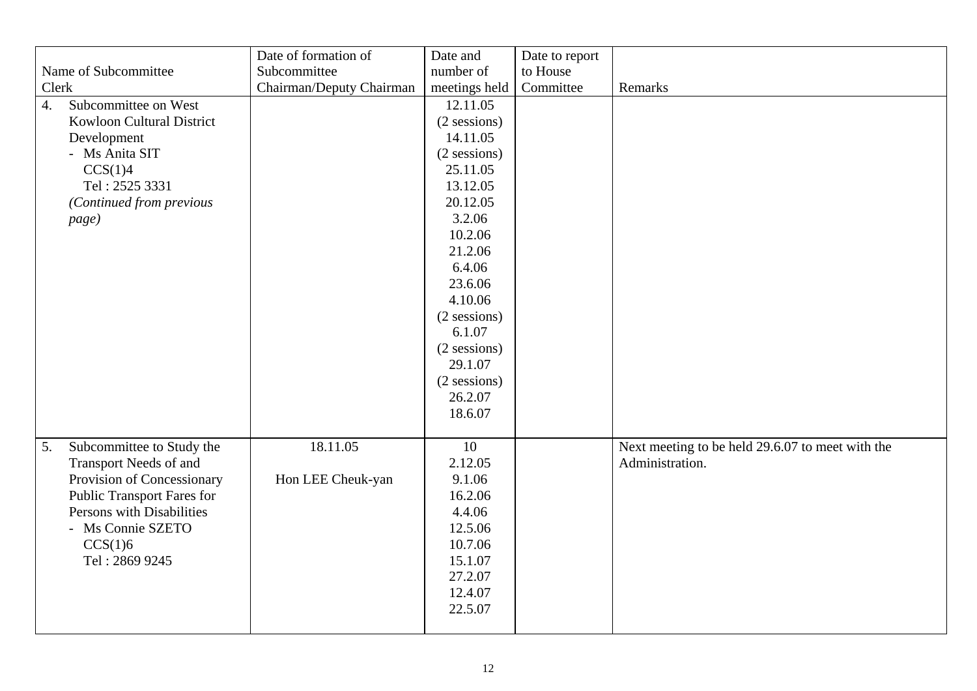|                                          | Date of formation of     | Date and       | Date to report |                                                  |
|------------------------------------------|--------------------------|----------------|----------------|--------------------------------------------------|
| Name of Subcommittee                     | Subcommittee             | number of      | to House       |                                                  |
| Clerk                                    | Chairman/Deputy Chairman | meetings held  | Committee      | Remarks                                          |
| Subcommittee on West<br>$\overline{4}$ . |                          | 12.11.05       |                |                                                  |
| <b>Kowloon Cultural District</b>         |                          | $(2$ sessions) |                |                                                  |
| Development                              |                          | 14.11.05       |                |                                                  |
| - Ms Anita SIT                           |                          | (2 sessions)   |                |                                                  |
| CCS(1)4                                  |                          | 25.11.05       |                |                                                  |
| Tel: 2525 3331                           |                          | 13.12.05       |                |                                                  |
| (Continued from previous                 |                          | 20.12.05       |                |                                                  |
| page)                                    |                          | 3.2.06         |                |                                                  |
|                                          |                          | 10.2.06        |                |                                                  |
|                                          |                          | 21.2.06        |                |                                                  |
|                                          |                          | 6.4.06         |                |                                                  |
|                                          |                          | 23.6.06        |                |                                                  |
|                                          |                          | 4.10.06        |                |                                                  |
|                                          |                          | $(2$ sessions) |                |                                                  |
|                                          |                          | 6.1.07         |                |                                                  |
|                                          |                          | $(2$ sessions) |                |                                                  |
|                                          |                          | 29.1.07        |                |                                                  |
|                                          |                          | $(2$ sessions) |                |                                                  |
|                                          |                          | 26.2.07        |                |                                                  |
|                                          |                          | 18.6.07        |                |                                                  |
|                                          |                          |                |                |                                                  |
| Subcommittee to Study the<br>5.          | 18.11.05                 | 10             |                | Next meeting to be held 29.6.07 to meet with the |
| Transport Needs of and                   |                          | 2.12.05        |                | Administration.                                  |
| Provision of Concessionary               | Hon LEE Cheuk-yan        | 9.1.06         |                |                                                  |
| <b>Public Transport Fares for</b>        |                          | 16.2.06        |                |                                                  |
| Persons with Disabilities                |                          | 4.4.06         |                |                                                  |
| - Ms Connie SZETO                        |                          | 12.5.06        |                |                                                  |
| CCS(1)6                                  |                          | 10.7.06        |                |                                                  |
| Tel: 2869 9245                           |                          | 15.1.07        |                |                                                  |
|                                          |                          | 27.2.07        |                |                                                  |
|                                          |                          | 12.4.07        |                |                                                  |
|                                          |                          | 22.5.07        |                |                                                  |
|                                          |                          |                |                |                                                  |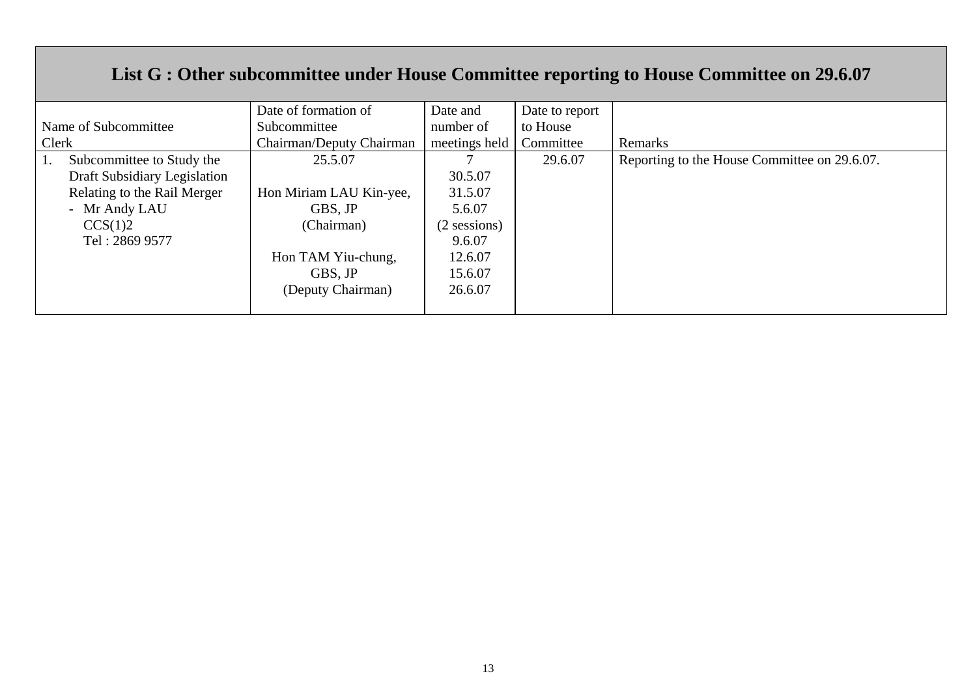# **List G : Other subcommittee under House Committee reporting to House Committee on 29.6.07**

|                              | Date of formation of     | Date and      | Date to report |                                              |
|------------------------------|--------------------------|---------------|----------------|----------------------------------------------|
| Name of Subcommittee         | Subcommittee             | number of     | to House       |                                              |
| Clerk                        | Chairman/Deputy Chairman | meetings held | Committee      | Remarks                                      |
| Subcommittee to Study the    | 25.5.07                  |               | 29.6.07        | Reporting to the House Committee on 29.6.07. |
| Draft Subsidiary Legislation |                          | 30.5.07       |                |                                              |
| Relating to the Rail Merger  | Hon Miriam LAU Kin-yee,  | 31.5.07       |                |                                              |
| - Mr Andy LAU                | GBS, JP                  | 5.6.07        |                |                                              |
| CCS(1)2                      | (Chairman)               | (2 sessions)  |                |                                              |
| Tel: 2869 9577               |                          | 9.6.07        |                |                                              |
|                              | Hon TAM Yiu-chung,       | 12.6.07       |                |                                              |
|                              | GBS, JP                  | 15.6.07       |                |                                              |
|                              | (Deputy Chairman)        | 26.6.07       |                |                                              |
|                              |                          |               |                |                                              |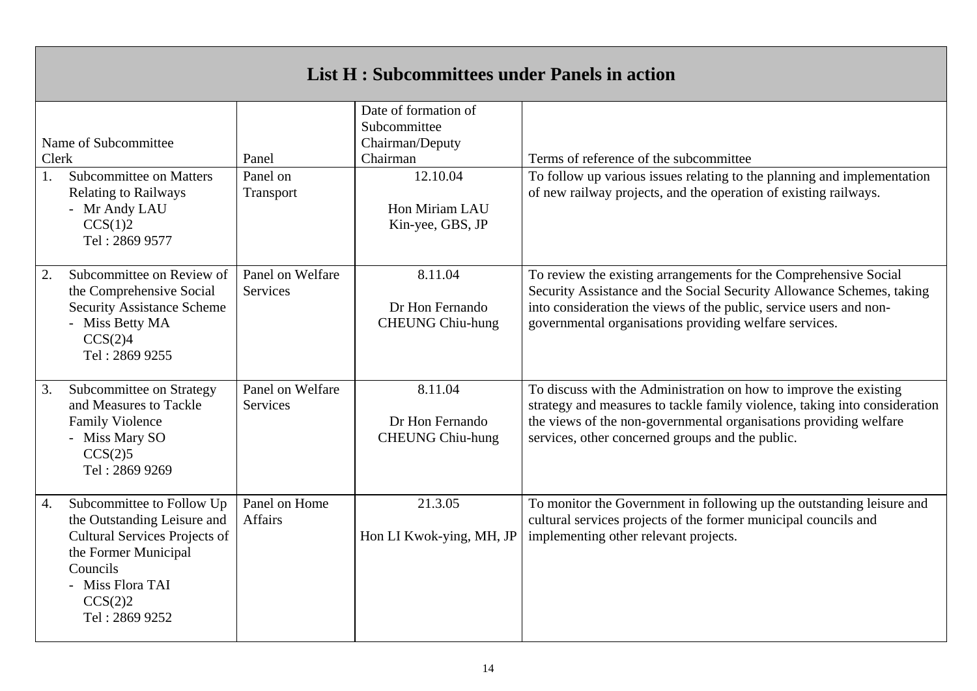| List H: Subcommittees under Panels in action |                                                                                                                                                                                       |                                 |                                                                                                                       |                                                                                                                                                                                                                                                                           |  |  |
|----------------------------------------------|---------------------------------------------------------------------------------------------------------------------------------------------------------------------------------------|---------------------------------|-----------------------------------------------------------------------------------------------------------------------|---------------------------------------------------------------------------------------------------------------------------------------------------------------------------------------------------------------------------------------------------------------------------|--|--|
| Clerk<br>$1_{-}$                             | Name of Subcommittee<br>Subcommittee on Matters<br><b>Relating to Railways</b><br>- Mr Andy LAU<br>CCS(1)2<br>Tel: 2869 9577                                                          | Panel<br>Panel on<br>Transport  | Date of formation of<br>Subcommittee<br>Chairman/Deputy<br>Chairman<br>12.10.04<br>Hon Miriam LAU<br>Kin-yee, GBS, JP | Terms of reference of the subcommittee<br>To follow up various issues relating to the planning and implementation<br>of new railway projects, and the operation of existing railways.                                                                                     |  |  |
| 2.                                           | Subcommittee on Review of<br>the Comprehensive Social<br><b>Security Assistance Scheme</b><br>- Miss Betty MA<br>CCS(2)4<br>Tel: 2869 9255                                            | Panel on Welfare<br>Services    | 8.11.04<br>Dr Hon Fernando<br><b>CHEUNG Chiu-hung</b>                                                                 | To review the existing arrangements for the Comprehensive Social<br>Security Assistance and the Social Security Allowance Schemes, taking<br>into consideration the views of the public, service users and non-<br>governmental organisations providing welfare services. |  |  |
| 3.                                           | Subcommittee on Strategy<br>and Measures to Tackle<br><b>Family Violence</b><br>- Miss Mary SO<br>CCS(2)5<br>Tel: 2869 9269                                                           | Panel on Welfare<br>Services    | 8.11.04<br>Dr Hon Fernando<br><b>CHEUNG Chiu-hung</b>                                                                 | To discuss with the Administration on how to improve the existing<br>strategy and measures to tackle family violence, taking into consideration<br>the views of the non-governmental organisations providing welfare<br>services, other concerned groups and the public.  |  |  |
| 4.                                           | Subcommittee to Follow Up<br>the Outstanding Leisure and<br><b>Cultural Services Projects of</b><br>the Former Municipal<br>Councils<br>- Miss Flora TAI<br>CCS(2)2<br>Tel: 2869 9252 | Panel on Home<br><b>Affairs</b> | 21.3.05<br>Hon LI Kwok-ying, MH, JP                                                                                   | To monitor the Government in following up the outstanding leisure and<br>cultural services projects of the former municipal councils and<br>implementing other relevant projects.                                                                                         |  |  |